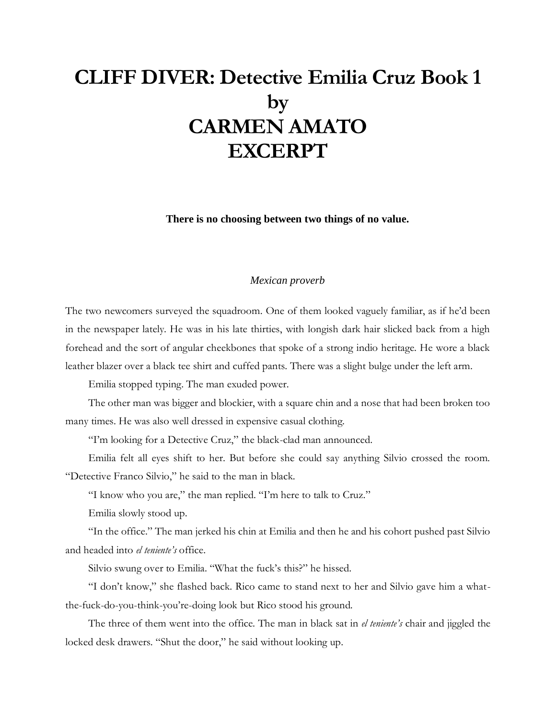## **CLIFF DIVER: Detective Emilia Cruz Book 1 by CARMEN AMATO EXCERPT**

**There is no choosing between two things of no value.**

## *Mexican proverb*

The two newcomers surveyed the squadroom. One of them looked vaguely familiar, as if he'd been in the newspaper lately. He was in his late thirties, with longish dark hair slicked back from a high forehead and the sort of angular cheekbones that spoke of a strong indio heritage. He wore a black leather blazer over a black tee shirt and cuffed pants. There was a slight bulge under the left arm.

Emilia stopped typing. The man exuded power.

The other man was bigger and blockier, with a square chin and a nose that had been broken too many times. He was also well dressed in expensive casual clothing.

"I'm looking for a Detective Cruz," the black-clad man announced.

Emilia felt all eyes shift to her. But before she could say anything Silvio crossed the room. "Detective Franco Silvio," he said to the man in black.

"I know who you are," the man replied. "I'm here to talk to Cruz."

Emilia slowly stood up.

"In the office." The man jerked his chin at Emilia and then he and his cohort pushed past Silvio and headed into *el teniente's* office.

Silvio swung over to Emilia. "What the fuck's this?" he hissed.

"I don't know," she flashed back. Rico came to stand next to her and Silvio gave him a whatthe-fuck-do-you-think-you're-doing look but Rico stood his ground.

The three of them went into the office. The man in black sat in *el teniente's* chair and jiggled the locked desk drawers. "Shut the door," he said without looking up.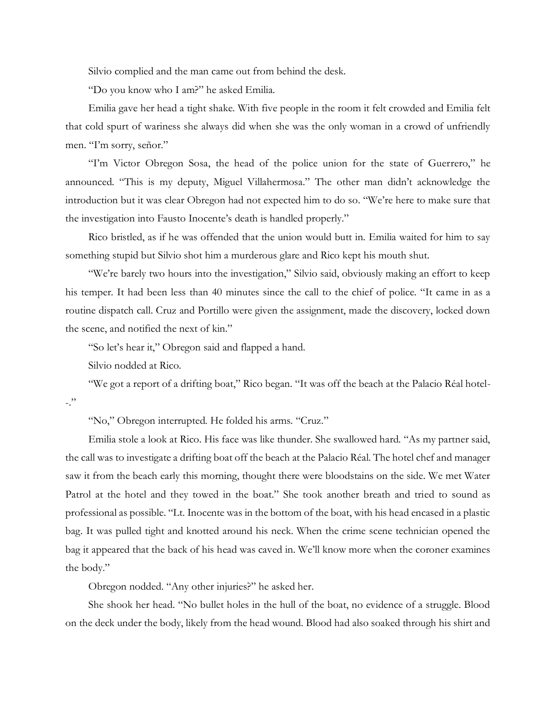Silvio complied and the man came out from behind the desk.

"Do you know who I am?" he asked Emilia.

Emilia gave her head a tight shake. With five people in the room it felt crowded and Emilia felt that cold spurt of wariness she always did when she was the only woman in a crowd of unfriendly men. "I'm sorry, señor."

"I'm Victor Obregon Sosa, the head of the police union for the state of Guerrero," he announced. "This is my deputy, Miguel Villahermosa." The other man didn't acknowledge the introduction but it was clear Obregon had not expected him to do so. "We're here to make sure that the investigation into Fausto Inocente's death is handled properly."

Rico bristled, as if he was offended that the union would butt in. Emilia waited for him to say something stupid but Silvio shot him a murderous glare and Rico kept his mouth shut.

"We're barely two hours into the investigation," Silvio said, obviously making an effort to keep his temper. It had been less than 40 minutes since the call to the chief of police. "It came in as a routine dispatch call. Cruz and Portillo were given the assignment, made the discovery, locked down the scene, and notified the next of kin."

"So let's hear it," Obregon said and flapped a hand.

Silvio nodded at Rico.

"We got a report of a drifting boat," Rico began. "It was off the beach at the Palacio Réal hotel-  $-$ ."

"No," Obregon interrupted. He folded his arms. "Cruz."

Emilia stole a look at Rico. His face was like thunder. She swallowed hard. "As my partner said, the call was to investigate a drifting boat off the beach at the Palacio Réal. The hotel chef and manager saw it from the beach early this morning, thought there were bloodstains on the side. We met Water Patrol at the hotel and they towed in the boat." She took another breath and tried to sound as professional as possible. "Lt. Inocente was in the bottom of the boat, with his head encased in a plastic bag. It was pulled tight and knotted around his neck. When the crime scene technician opened the bag it appeared that the back of his head was caved in. We'll know more when the coroner examines the body."

Obregon nodded. "Any other injuries?" he asked her.

She shook her head. "No bullet holes in the hull of the boat, no evidence of a struggle. Blood on the deck under the body, likely from the head wound. Blood had also soaked through his shirt and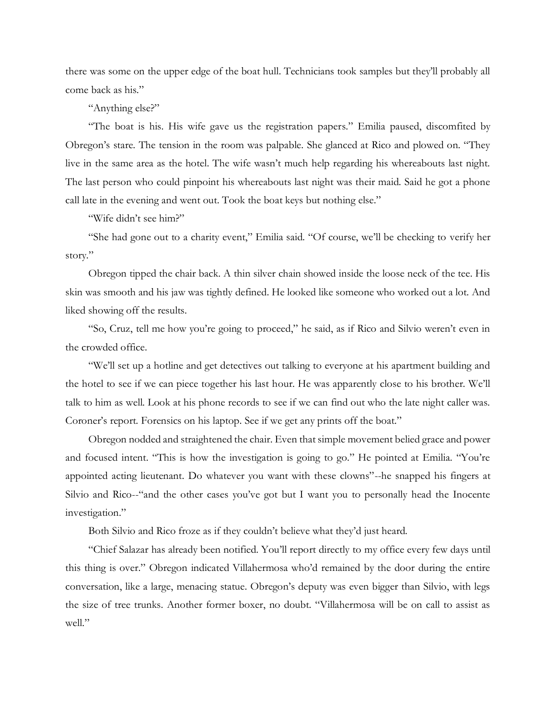there was some on the upper edge of the boat hull. Technicians took samples but they'll probably all come back as his."

"Anything else?"

"The boat is his. His wife gave us the registration papers." Emilia paused, discomfited by Obregon's stare. The tension in the room was palpable. She glanced at Rico and plowed on. "They live in the same area as the hotel. The wife wasn't much help regarding his whereabouts last night. The last person who could pinpoint his whereabouts last night was their maid. Said he got a phone call late in the evening and went out. Took the boat keys but nothing else."

"Wife didn't see him?"

"She had gone out to a charity event," Emilia said. "Of course, we'll be checking to verify her story."

Obregon tipped the chair back. A thin silver chain showed inside the loose neck of the tee. His skin was smooth and his jaw was tightly defined. He looked like someone who worked out a lot. And liked showing off the results.

"So, Cruz, tell me how you're going to proceed," he said, as if Rico and Silvio weren't even in the crowded office.

"We'll set up a hotline and get detectives out talking to everyone at his apartment building and the hotel to see if we can piece together his last hour. He was apparently close to his brother. We'll talk to him as well. Look at his phone records to see if we can find out who the late night caller was. Coroner's report. Forensics on his laptop. See if we get any prints off the boat."

Obregon nodded and straightened the chair. Even that simple movement belied grace and power and focused intent. "This is how the investigation is going to go." He pointed at Emilia. "You're appointed acting lieutenant. Do whatever you want with these clowns"--he snapped his fingers at Silvio and Rico--"and the other cases you've got but I want you to personally head the Inocente investigation."

Both Silvio and Rico froze as if they couldn't believe what they'd just heard.

"Chief Salazar has already been notified. You'll report directly to my office every few days until this thing is over." Obregon indicated Villahermosa who'd remained by the door during the entire conversation, like a large, menacing statue. Obregon's deputy was even bigger than Silvio, with legs the size of tree trunks. Another former boxer, no doubt. "Villahermosa will be on call to assist as well."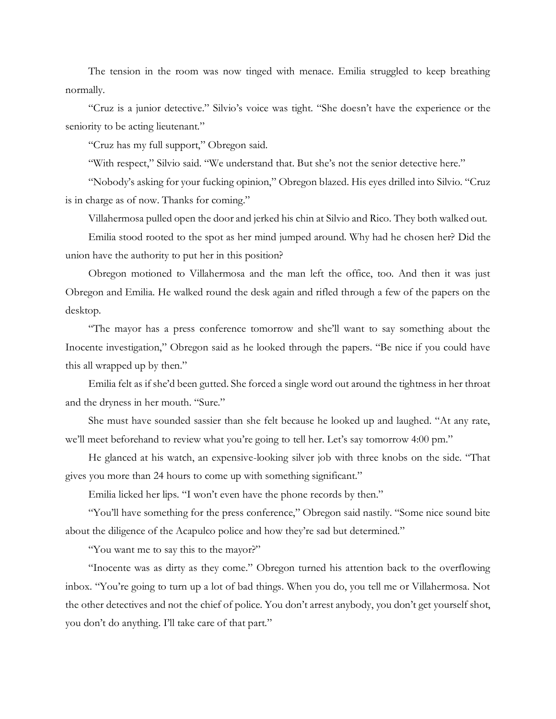The tension in the room was now tinged with menace. Emilia struggled to keep breathing normally.

"Cruz is a junior detective." Silvio's voice was tight. "She doesn't have the experience or the seniority to be acting lieutenant."

"Cruz has my full support," Obregon said.

"With respect," Silvio said. "We understand that. But she's not the senior detective here."

"Nobody's asking for your fucking opinion," Obregon blazed. His eyes drilled into Silvio. "Cruz is in charge as of now. Thanks for coming."

Villahermosa pulled open the door and jerked his chin at Silvio and Rico. They both walked out.

Emilia stood rooted to the spot as her mind jumped around. Why had he chosen her? Did the union have the authority to put her in this position?

Obregon motioned to Villahermosa and the man left the office, too. And then it was just Obregon and Emilia. He walked round the desk again and rifled through a few of the papers on the desktop.

"The mayor has a press conference tomorrow and she'll want to say something about the Inocente investigation," Obregon said as he looked through the papers. "Be nice if you could have this all wrapped up by then."

Emilia felt as if she'd been gutted. She forced a single word out around the tightness in her throat and the dryness in her mouth. "Sure."

She must have sounded sassier than she felt because he looked up and laughed. "At any rate, we'll meet beforehand to review what you're going to tell her. Let's say tomorrow 4:00 pm."

He glanced at his watch, an expensive-looking silver job with three knobs on the side. "That gives you more than 24 hours to come up with something significant."

Emilia licked her lips. "I won't even have the phone records by then."

"You'll have something for the press conference," Obregon said nastily. "Some nice sound bite about the diligence of the Acapulco police and how they're sad but determined."

"You want me to say this to the mayor?"

"Inocente was as dirty as they come." Obregon turned his attention back to the overflowing inbox. "You're going to turn up a lot of bad things. When you do, you tell me or Villahermosa. Not the other detectives and not the chief of police. You don't arrest anybody, you don't get yourself shot, you don't do anything. I'll take care of that part."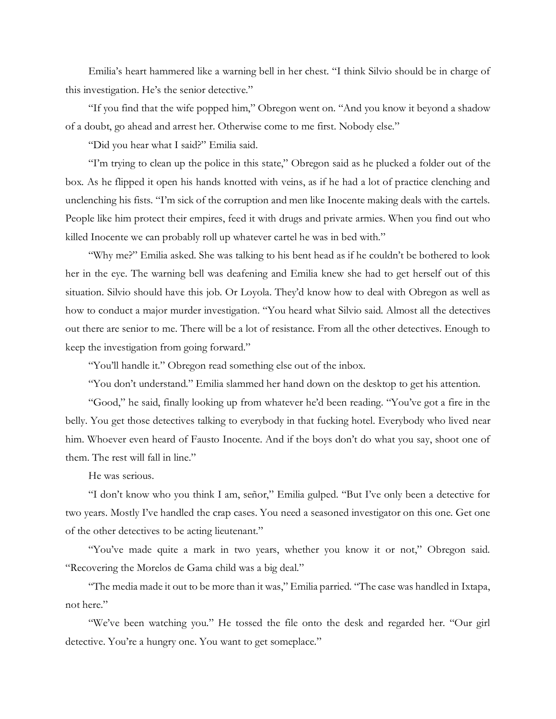Emilia's heart hammered like a warning bell in her chest. "I think Silvio should be in charge of this investigation. He's the senior detective."

"If you find that the wife popped him," Obregon went on. "And you know it beyond a shadow of a doubt, go ahead and arrest her. Otherwise come to me first. Nobody else."

"Did you hear what I said?" Emilia said.

"I'm trying to clean up the police in this state," Obregon said as he plucked a folder out of the box. As he flipped it open his hands knotted with veins, as if he had a lot of practice clenching and unclenching his fists. "I'm sick of the corruption and men like Inocente making deals with the cartels. People like him protect their empires, feed it with drugs and private armies. When you find out who killed Inocente we can probably roll up whatever cartel he was in bed with."

"Why me?" Emilia asked. She was talking to his bent head as if he couldn't be bothered to look her in the eye. The warning bell was deafening and Emilia knew she had to get herself out of this situation. Silvio should have this job. Or Loyola. They'd know how to deal with Obregon as well as how to conduct a major murder investigation. "You heard what Silvio said. Almost all the detectives out there are senior to me. There will be a lot of resistance. From all the other detectives. Enough to keep the investigation from going forward."

"You'll handle it." Obregon read something else out of the inbox.

"You don't understand." Emilia slammed her hand down on the desktop to get his attention.

"Good," he said, finally looking up from whatever he'd been reading. "You've got a fire in the belly. You get those detectives talking to everybody in that fucking hotel. Everybody who lived near him. Whoever even heard of Fausto Inocente. And if the boys don't do what you say, shoot one of them. The rest will fall in line."

He was serious.

"I don't know who you think I am, señor," Emilia gulped. "But I've only been a detective for two years. Mostly I've handled the crap cases. You need a seasoned investigator on this one. Get one of the other detectives to be acting lieutenant."

"You've made quite a mark in two years, whether you know it or not," Obregon said. "Recovering the Morelos de Gama child was a big deal."

"The media made it out to be more than it was," Emilia parried. "The case was handled in Ixtapa, not here."

"We've been watching you." He tossed the file onto the desk and regarded her. "Our girl detective. You're a hungry one. You want to get someplace."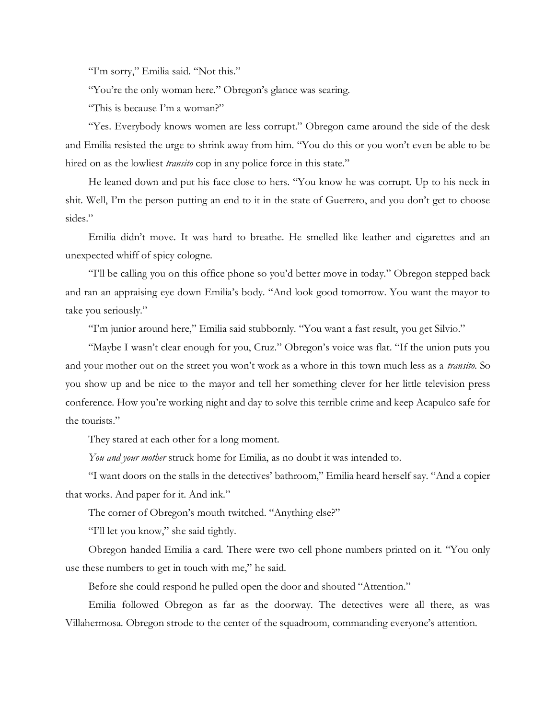"I'm sorry," Emilia said. "Not this."

"You're the only woman here." Obregon's glance was searing.

"This is because I'm a woman?"

"Yes. Everybody knows women are less corrupt." Obregon came around the side of the desk and Emilia resisted the urge to shrink away from him. "You do this or you won't even be able to be hired on as the lowliest *transito* cop in any police force in this state."

He leaned down and put his face close to hers. "You know he was corrupt. Up to his neck in shit. Well, I'm the person putting an end to it in the state of Guerrero, and you don't get to choose sides."

Emilia didn't move. It was hard to breathe. He smelled like leather and cigarettes and an unexpected whiff of spicy cologne.

"I'll be calling you on this office phone so you'd better move in today." Obregon stepped back and ran an appraising eye down Emilia's body. "And look good tomorrow. You want the mayor to take you seriously."

"I'm junior around here," Emilia said stubbornly. "You want a fast result, you get Silvio."

"Maybe I wasn't clear enough for you, Cruz." Obregon's voice was flat. "If the union puts you and your mother out on the street you won't work as a whore in this town much less as a *transito*. So you show up and be nice to the mayor and tell her something clever for her little television press conference. How you're working night and day to solve this terrible crime and keep Acapulco safe for the tourists."

They stared at each other for a long moment.

*You and your mother* struck home for Emilia, as no doubt it was intended to.

"I want doors on the stalls in the detectives' bathroom," Emilia heard herself say. "And a copier that works. And paper for it. And ink."

The corner of Obregon's mouth twitched. "Anything else?"

"I'll let you know," she said tightly.

Obregon handed Emilia a card. There were two cell phone numbers printed on it. "You only use these numbers to get in touch with me," he said.

Before she could respond he pulled open the door and shouted "Attention."

Emilia followed Obregon as far as the doorway. The detectives were all there, as was Villahermosa. Obregon strode to the center of the squadroom, commanding everyone's attention.